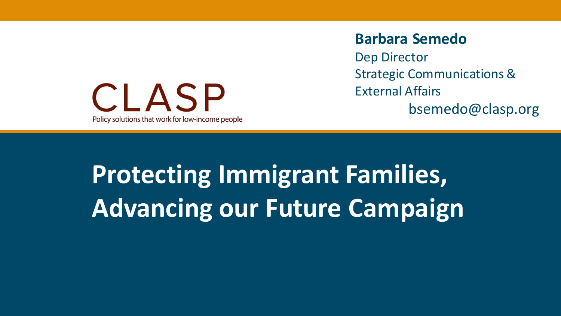

### **Barbara Semedo**

Dep Director Strategic Communications & External Affairs

### bsemedo@clasp.org

# **Title of Protecting Immigrant Families, Advancing our Future Campaign**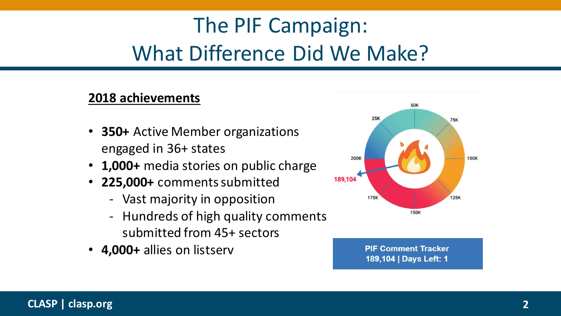# The PIF Campaign: What Difference Did We Make?

### **2018 achievements**

- **350+** Active Member organizations engaged in 36+ states
- **1,000+** media stories on public charge
- **225,000+** comments submitted
	- Vast majority in opposition
	- Hundreds of high quality comments submitted from 45+ sectors
- **4,000+** allies on listserv



**PIF Comment Tracker** 189,104 | Days Left: 1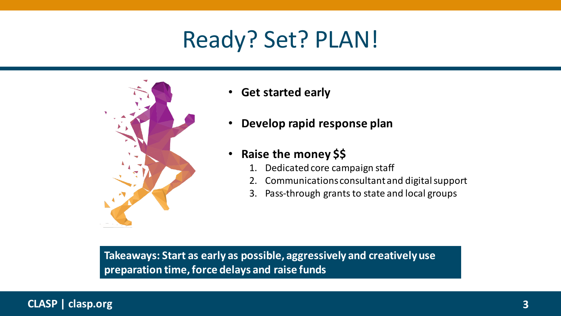# Ready? Set? PLAN!



- **Get started early**
- **Develop rapid response plan**
- **Raise the money \$\$**
	- 1. Dedicated core campaign staff
	- 2. Communications consultant and digital support
	- 3. Pass-through grants to state and local groups

**Takeaways: Start as early as possible, aggressively and creatively use preparation time, force delays and raise funds**

### <sup>3</sup> **CLASP | clasp.org 3**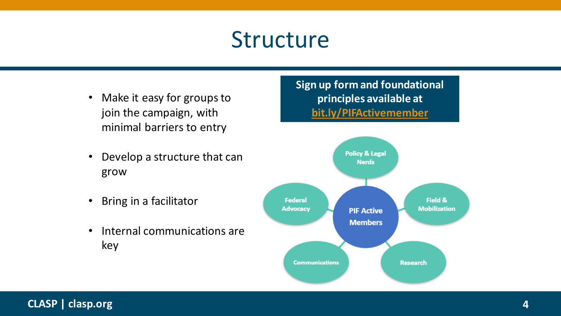# Structure

- Make it easy for groups to join the campaign, with minimal barriers to entry
- Develop a structure that can grow
- Bring in a facilitator
- Internal communications are key



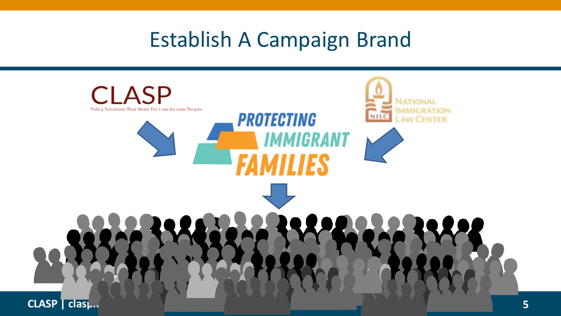### Establish A Campaign Brand

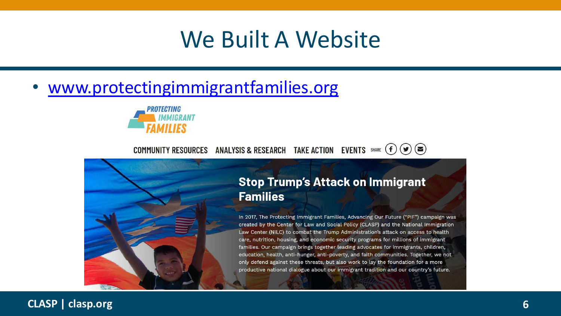## We Built A Website

• [www.protectingimmigrantfamilies.org](http://www.protectingimmigrantfamilies.org/)



#### COMMUNITY RESOURCES ANALYSIS & RESEARCH TAKE ACTION EVENTS SHARE  $(f)(\blacktriangleright)$



### **Stop Trump's Attack on Immigrant Families**

In 2017, The Protecting Immigrant Families, Advancing Our Future ("PIF") campaign was created by the Center for Law and Social Policy (CLASP) and the National Immigration Law Center (NILC) to combat the Trump Administration's attack on access to health care, nutrition, housing, and economic security programs for millions of immigrant families. Our campaign brings together leading advocates for immigrants, children, education, health, anti-hunger, anti-poverty, and faith communities. Together, we not only defend against these threats, but also work to lay the foundation for a more productive national dialogue about our immigrant tradition and our country's future.

### <sup>6</sup> **CLASP | clasp.org 6**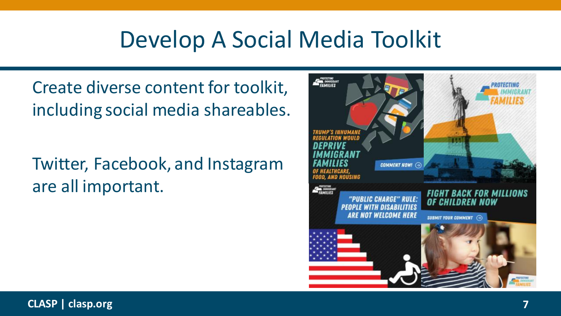# Develop A Social Media Toolkit

Create diverse content for toolkit, including social media shareables.

Twitter, Facebook, and Instagram are all important.